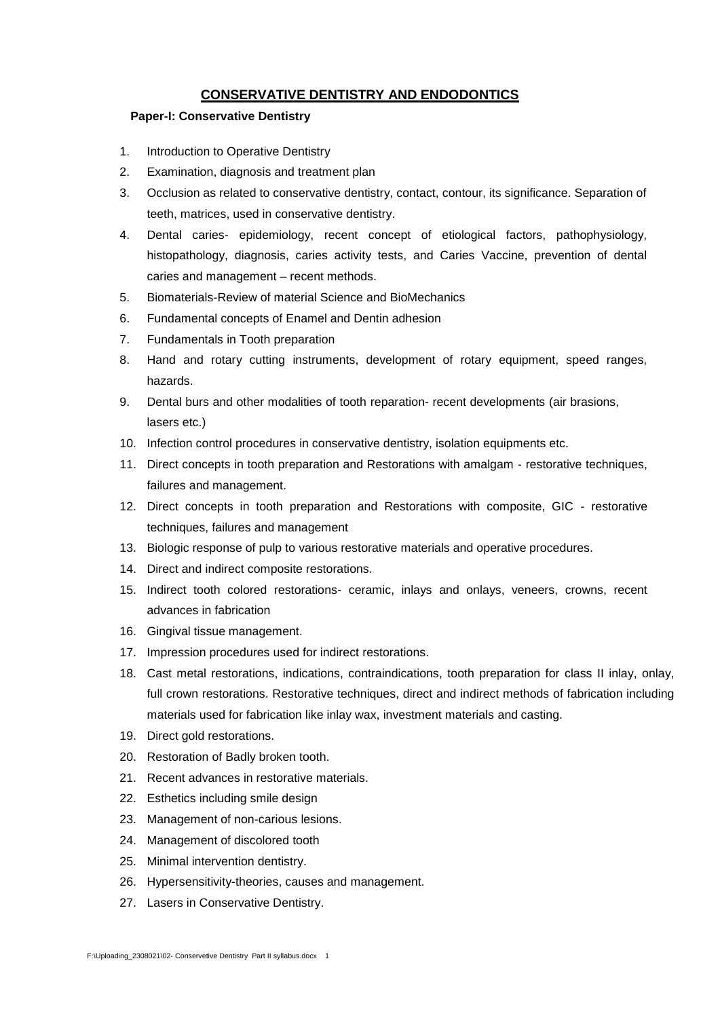# **CONSERVATIVE DENTISTRY AND ENDODONTICS**

### **Paper-I: Conservative Dentistry**

- 1. Introduction to Operative Dentistry
- 2. Examination, diagnosis and treatment plan
- 3. Occlusion as related to conservative dentistry, contact, contour, its significance. Separation of teeth, matrices, used in conservative dentistry.
- 4. Dental caries- epidemiology, recent concept of etiological factors, pathophysiology, histopathology, diagnosis, caries activity tests, and Caries Vaccine, prevention of dental caries and management – recent methods.
- 5. Biomaterials-Review of material Science and BioMechanics
- 6. Fundamental concepts of Enamel and Dentin adhesion
- 7. Fundamentals in Tooth preparation
- 8. Hand and rotary cutting instruments, development of rotary equipment, speed ranges, hazards.
- 9. Dental burs and other modalities of tooth reparation- recent developments (air brasions, lasers etc.)
- 10. Infection control procedures in conservative dentistry, isolation equipments etc.
- 11. Direct concepts in tooth preparation and Restorations with amalgam restorative techniques, failures and management.
- 12. Direct concepts in tooth preparation and Restorations with composite, GIC restorative techniques, failures and management
- 13. Biologic response of pulp to various restorative materials and operative procedures.
- 14. Direct and indirect composite restorations.
- 15. Indirect tooth colored restorations- ceramic, inlays and onlays, veneers, crowns, recent advances in fabrication
- 16. Gingival tissue management.
- 17. Impression procedures used for indirect restorations.
- 18. Cast metal restorations, indications, contraindications, tooth preparation for class II inlay, onlay, full crown restorations. Restorative techniques, direct and indirect methods of fabrication including materials used for fabrication like inlay wax, investment materials and casting.
- 19. Direct gold restorations.
- 20. Restoration of Badly broken tooth.
- 21. Recent advances in restorative materials.
- 22. Esthetics including smile design
- 23. Management of non-carious lesions.
- 24. Management of discolored tooth
- 25. Minimal intervention dentistry.
- 26. Hypersensitivity-theories, causes and management.
- 27. Lasers in Conservative Dentistry.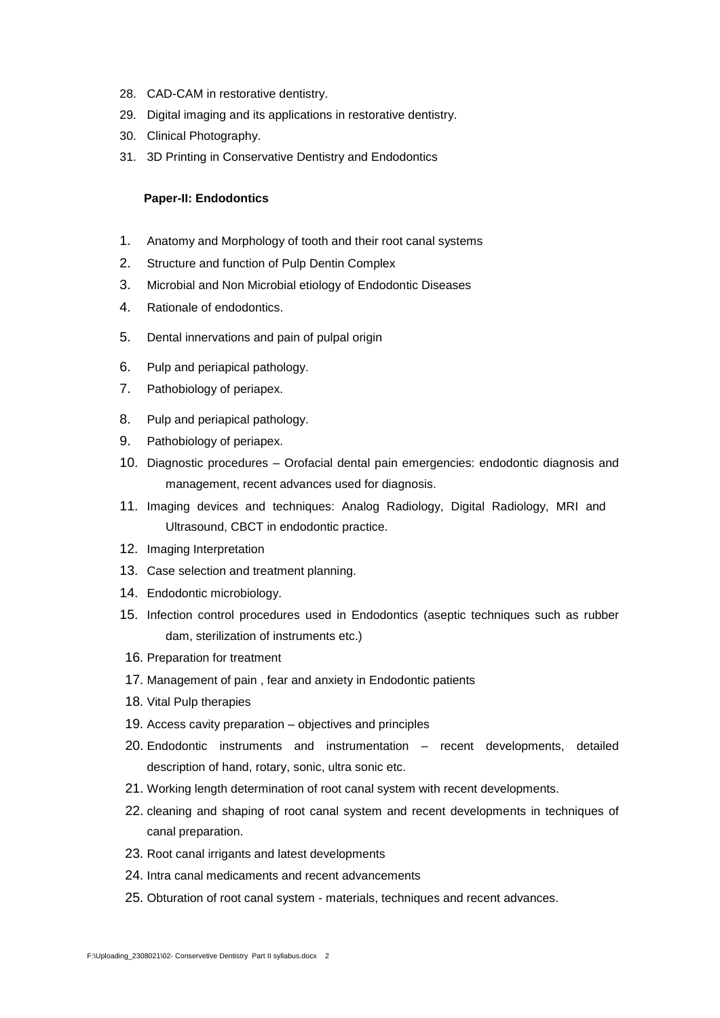- 28. CAD-CAM in restorative dentistry.
- 29. Digital imaging and its applications in restorative dentistry.
- 30. Clinical Photography.
- 31. 3D Printing in Conservative Dentistry and Endodontics

#### **Paper-II: Endodontics**

- 1. Anatomy and Morphology of tooth and their root canal systems
- 2. Structure and function of Pulp Dentin Complex
- 3. Microbial and Non Microbial etiology of Endodontic Diseases
- 4. Rationale of endodontics.
- 5. Dental innervations and pain of pulpal origin
- 6. Pulp and periapical pathology.
- 7. Pathobiology of periapex.
- 8. Pulp and periapical pathology.
- 9. Pathobiology of periapex.
- 10. Diagnostic procedures Orofacial dental pain emergencies: endodontic diagnosis and management, recent advances used for diagnosis.
- 11. Imaging devices and techniques: Analog Radiology, Digital Radiology, MRI and Ultrasound, CBCT in endodontic practice.
- 12. Imaging Interpretation
- 13. Case selection and treatment planning.
- 14. Endodontic microbiology.
- 15. Infection control procedures used in Endodontics (aseptic techniques such as rubber dam, sterilization of instruments etc.)
- 16. Preparation for treatment
- 17. Management of pain , fear and anxiety in Endodontic patients
- 18. Vital Pulp therapies
- 19. Access cavity preparation objectives and principles
- 20. Endodontic instruments and instrumentation recent developments, detailed description of hand, rotary, sonic, ultra sonic etc.
- 21. Working length determination of root canal system with recent developments.
- 22. cleaning and shaping of root canal system and recent developments in techniques of canal preparation.
- 23. Root canal irrigants and latest developments
- 24. Intra canal medicaments and recent advancements
- 25. Obturation of root canal system materials, techniques and recent advances.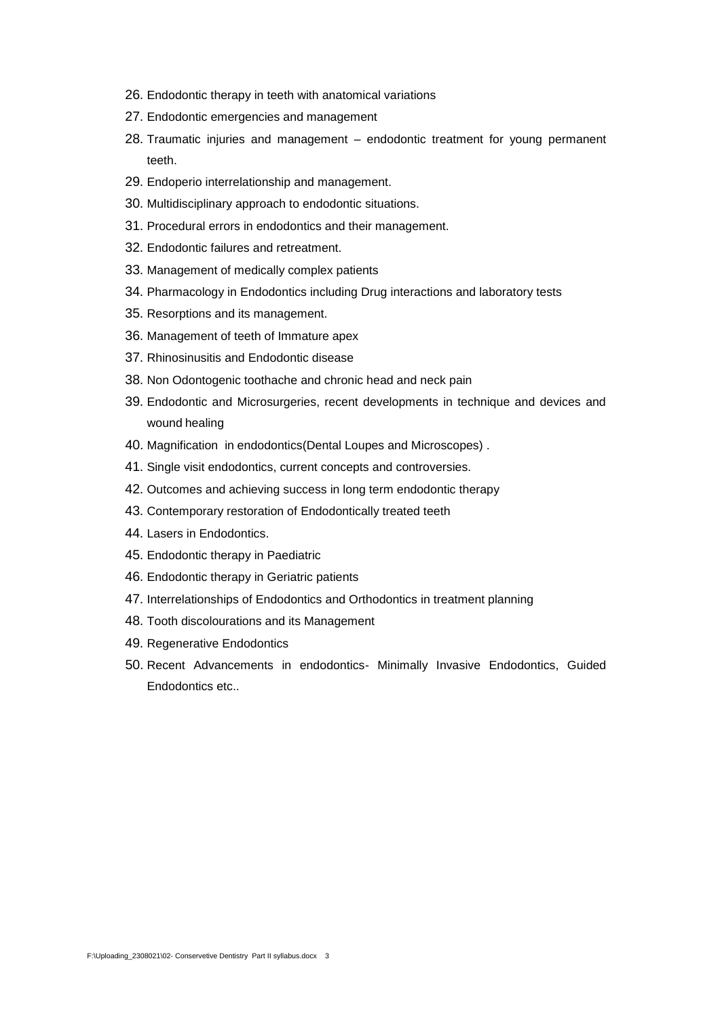- 26. Endodontic therapy in teeth with anatomical variations
- 27. Endodontic emergencies and management
- 28. Traumatic injuries and management endodontic treatment for young permanent teeth.
- 29. Endoperio interrelationship and management.
- 30. Multidisciplinary approach to endodontic situations.
- 31. Procedural errors in endodontics and their management.
- 32. Endodontic failures and retreatment.
- 33. Management of medically complex patients
- 34. Pharmacology in Endodontics including Drug interactions and laboratory tests
- 35. Resorptions and its management.
- 36. Management of teeth of Immature apex
- 37. Rhinosinusitis and Endodontic disease
- 38. Non Odontogenic toothache and chronic head and neck pain
- 39. Endodontic and Microsurgeries, recent developments in technique and devices and wound healing
- 40. Magnification in endodontics(Dental Loupes and Microscopes) .
- 41. Single visit endodontics, current concepts and controversies.
- 42. Outcomes and achieving success in long term endodontic therapy
- 43. Contemporary restoration of Endodontically treated teeth
- 44. Lasers in Endodontics.
- 45. Endodontic therapy in Paediatric
- 46. Endodontic therapy in Geriatric patients
- 47. Interrelationships of Endodontics and Orthodontics in treatment planning
- 48. Tooth discolourations and its Management
- 49. Regenerative Endodontics
- 50. Recent Advancements in endodontics- Minimally Invasive Endodontics, Guided Endodontics etc..